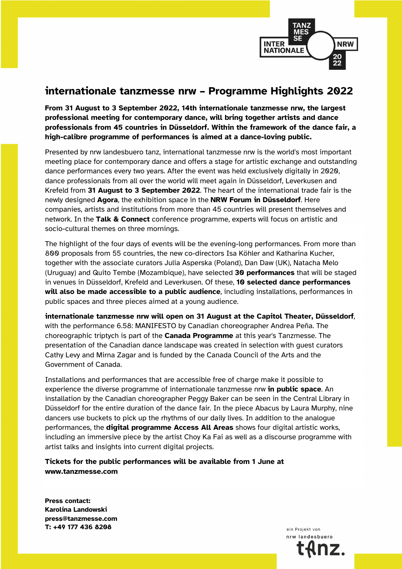

## **internationale tanzmesse nrw – Programme Highlights 2022**

**From 31 August to 3 September 2022, 14th internationale tanzmesse nrw, the largest professional meeting for contemporary dance, will bring together artists and dance professionals from 45 countries in Düsseldorf. Within the framework of the dance fair, a high-calibre programme of performances is aimed at a dance-loving public.**

Presented by nrw landesbuero tanz, international tanzmesse nrw is the world's most important meeting place for contemporary dance and offers a stage for artistic exchange and outstanding dance performances every two years. After the event was held exclusively digitally in 2020, dance professionals from all over the world will meet again in Düsseldorf, Leverkusen and Krefeld from **31 August to 3 September 2022**. The heart of the international trade fair is the newly designed **Agora**, the exhibition space in the **NRW Forum in Düsseldorf**. Here companies, artists and institutions from more than 45 countries will present themselves and network. In the **Talk & Connect** conference programme, experts will focus on artistic and socio-cultural themes on three mornings.

The highlight of the four days of events will be the evening-long performances. From more than 800 proposals from 55 countries, the new co-directors Isa Köhler and Katharina Kucher, together with the associate curators Julia Asperska (Poland), Dan Daw (UK), Natacha Melo (Uruguay) and Quito Tembe (Mozambique), have selected **30 performances** that will be staged in venues in Düsseldorf, Krefeld and Leverkusen. Of these, **10 selected dance performances will also be made accessible to a public audience**, including installations, performances in public spaces and three pieces aimed at a young audience.

**internationale tanzmesse nrw will open on 31 August at the Capitol Theater, Düsseldorf**, with the performance 6.58: MANIFESTO by Canadian choreographer Andrea Peña. The choreographic triptych is part of the **Canada Programme** at this year's Tanzmesse. The presentation of the Canadian dance landscape was created in selection with guest curators Cathy Levy and Mirna Zagar and is funded by the Canada Council of the Arts and the Government of Canada.

Installations and performances that are accessible free of charge make it possible to experience the diverse programme of internationale tanzmesse nrw **in public space**. An installation by the Canadian choreographer Peggy Baker can be seen in the Central Library in Düsseldorf for the entire duration of the dance fair. In the piece Abacus by Laura Murphy, nine dancers use buckets to pick up the rhythms of our daily lives. In addition to the analogue performances, the **digital programme Access All Areas** shows four digital artistic works, including an immersive piece by the artist Choy Ka Fai as well as a discourse programme with artist talks and insights into current digital projects.

**Tickets for the public performances will be available from 1 June at www.tanzmesse.com**

**Press contact: Karolina Landowski press@tanzmesse.com T: +49 177 436 8208**

ein Projekt von nrw landesbuero IZ.